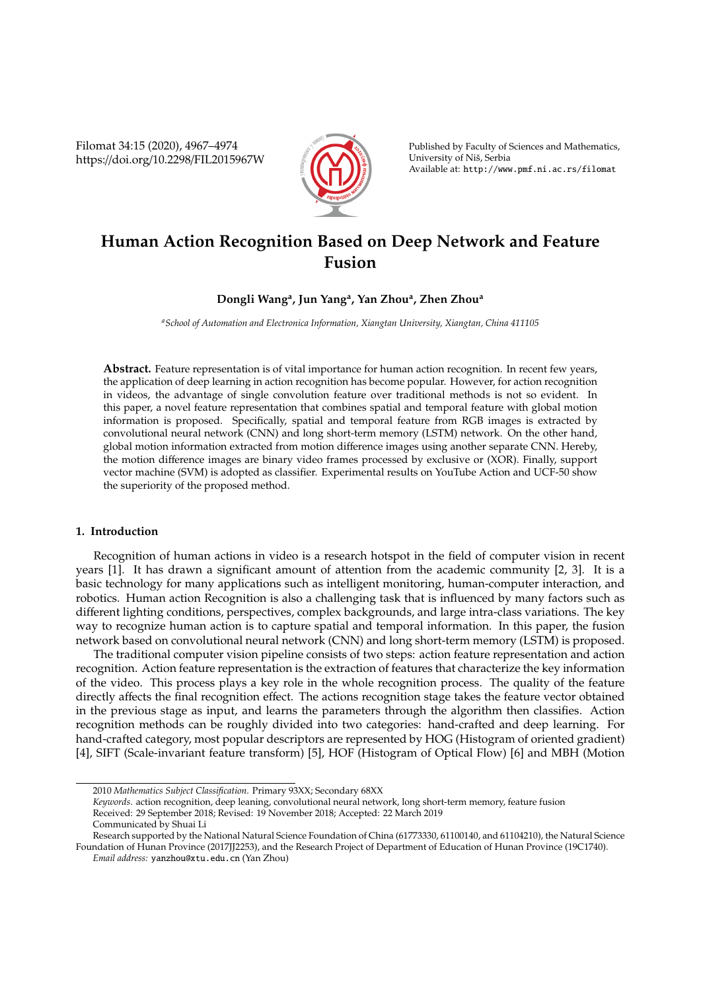Filomat 34:15 (2020), 4967–4974 https://doi.org/10.2298/FIL2015967W



Published by Faculty of Sciences and Mathematics, University of Niš, Serbia Available at: http://www.pmf.ni.ac.rs/filomat

# **Human Action Recognition Based on Deep Network and Feature Fusion**

# **Dongli Wang<sup>a</sup> , Jun Yang<sup>a</sup> , Yan Zhou<sup>a</sup> , Zhen Zhou<sup>a</sup>**

*<sup>a</sup>School of Automation and Electronica Information, Xiangtan University, Xiangtan, China 411105*

**Abstract.** Feature representation is of vital importance for human action recognition. In recent few years, the application of deep learning in action recognition has become popular. However, for action recognition in videos, the advantage of single convolution feature over traditional methods is not so evident. In this paper, a novel feature representation that combines spatial and temporal feature with global motion information is proposed. Specifically, spatial and temporal feature from RGB images is extracted by convolutional neural network (CNN) and long short-term memory (LSTM) network. On the other hand, global motion information extracted from motion difference images using another separate CNN. Hereby, the motion difference images are binary video frames processed by exclusive or (XOR). Finally, support vector machine (SVM) is adopted as classifier. Experimental results on YouTube Action and UCF-50 show the superiority of the proposed method.

# **1. Introduction**

Recognition of human actions in video is a research hotspot in the field of computer vision in recent years [1]. It has drawn a significant amount of attention from the academic community [2, 3]. It is a basic technology for many applications such as intelligent monitoring, human-computer interaction, and robotics. Human action Recognition is also a challenging task that is influenced by many factors such as different lighting conditions, perspectives, complex backgrounds, and large intra-class variations. The key way to recognize human action is to capture spatial and temporal information. In this paper, the fusion network based on convolutional neural network (CNN) and long short-term memory (LSTM) is proposed.

The traditional computer vision pipeline consists of two steps: action feature representation and action recognition. Action feature representation is the extraction of features that characterize the key information of the video. This process plays a key role in the whole recognition process. The quality of the feature directly affects the final recognition effect. The actions recognition stage takes the feature vector obtained in the previous stage as input, and learns the parameters through the algorithm then classifies. Action recognition methods can be roughly divided into two categories: hand-crafted and deep learning. For hand-crafted category, most popular descriptors are represented by HOG (Histogram of oriented gradient) [4], SIFT (Scale-invariant feature transform) [5], HOF (Histogram of Optical Flow) [6] and MBH (Motion

Communicated by Shuai Li

<sup>2010</sup> *Mathematics Subject Classification*. Primary 93XX; Secondary 68XX

*Keywords*. action recognition, deep leaning, convolutional neural network, long short-term memory, feature fusion Received: 29 September 2018; Revised: 19 November 2018; Accepted: 22 March 2019

Research supported by the National Natural Science Foundation of China (61773330, 61100140, and 61104210), the Natural Science Foundation of Hunan Province (2017JJ2253), and the Research Project of Department of Education of Hunan Province (19C1740).

*Email address:* yanzhou@xtu.edu.cn (Yan Zhou)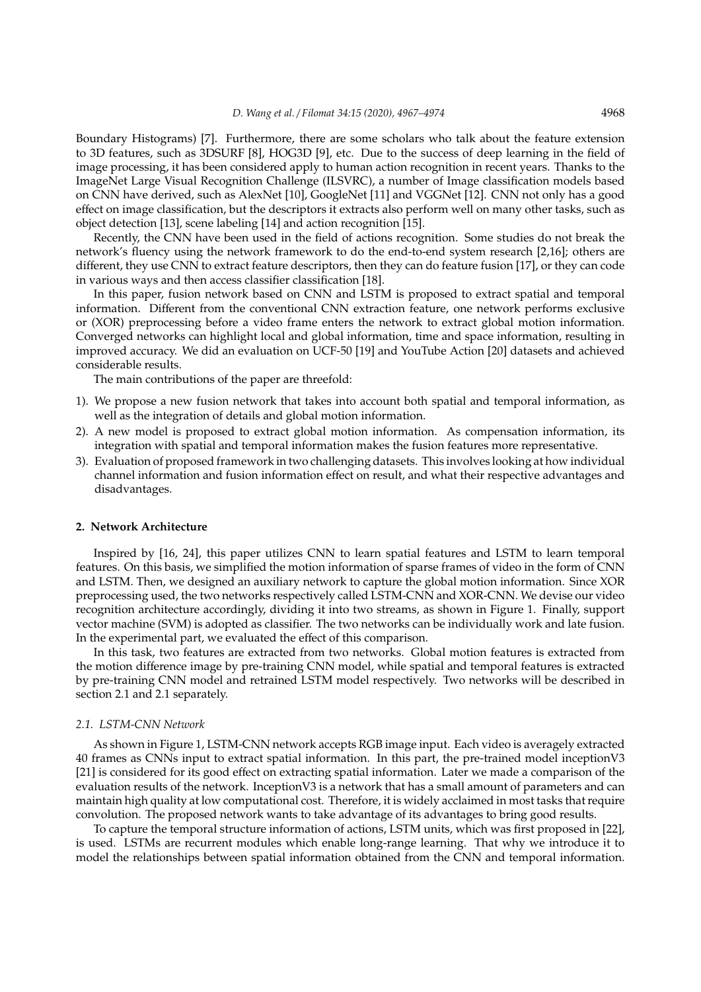Boundary Histograms) [7]. Furthermore, there are some scholars who talk about the feature extension to 3D features, such as 3DSURF [8], HOG3D [9], etc. Due to the success of deep learning in the field of image processing, it has been considered apply to human action recognition in recent years. Thanks to the ImageNet Large Visual Recognition Challenge (ILSVRC), a number of Image classification models based on CNN have derived, such as AlexNet [10], GoogleNet [11] and VGGNet [12]. CNN not only has a good effect on image classification, but the descriptors it extracts also perform well on many other tasks, such as object detection [13], scene labeling [14] and action recognition [15].

Recently, the CNN have been used in the field of actions recognition. Some studies do not break the network's fluency using the network framework to do the end-to-end system research [2,16]; others are different, they use CNN to extract feature descriptors, then they can do feature fusion [17], or they can code in various ways and then access classifier classification [18].

In this paper, fusion network based on CNN and LSTM is proposed to extract spatial and temporal information. Different from the conventional CNN extraction feature, one network performs exclusive or (XOR) preprocessing before a video frame enters the network to extract global motion information. Converged networks can highlight local and global information, time and space information, resulting in improved accuracy. We did an evaluation on UCF-50 [19] and YouTube Action [20] datasets and achieved considerable results.

The main contributions of the paper are threefold:

- 1). We propose a new fusion network that takes into account both spatial and temporal information, as well as the integration of details and global motion information.
- 2). A new model is proposed to extract global motion information. As compensation information, its integration with spatial and temporal information makes the fusion features more representative.
- 3). Evaluation of proposed framework in two challenging datasets. This involves looking at how individual channel information and fusion information effect on result, and what their respective advantages and disadvantages.

#### **2. Network Architecture**

Inspired by [16, 24], this paper utilizes CNN to learn spatial features and LSTM to learn temporal features. On this basis, we simplified the motion information of sparse frames of video in the form of CNN and LSTM. Then, we designed an auxiliary network to capture the global motion information. Since XOR preprocessing used, the two networks respectively called LSTM-CNN and XOR-CNN. We devise our video recognition architecture accordingly, dividing it into two streams, as shown in Figure 1. Finally, support vector machine (SVM) is adopted as classifier. The two networks can be individually work and late fusion. In the experimental part, we evaluated the effect of this comparison.

In this task, two features are extracted from two networks. Global motion features is extracted from the motion difference image by pre-training CNN model, while spatial and temporal features is extracted by pre-training CNN model and retrained LSTM model respectively. Two networks will be described in section 2.1 and 2.1 separately.

#### *2.1. LSTM-CNN Network*

As shown in Figure 1, LSTM-CNN network accepts RGB image input. Each video is averagely extracted 40 frames as CNNs input to extract spatial information. In this part, the pre-trained model inceptionV3 [21] is considered for its good effect on extracting spatial information. Later we made a comparison of the evaluation results of the network. InceptionV3 is a network that has a small amount of parameters and can maintain high quality at low computational cost. Therefore, it is widely acclaimed in most tasks that require convolution. The proposed network wants to take advantage of its advantages to bring good results.

To capture the temporal structure information of actions, LSTM units, which was first proposed in [22], is used. LSTMs are recurrent modules which enable long-range learning. That why we introduce it to model the relationships between spatial information obtained from the CNN and temporal information.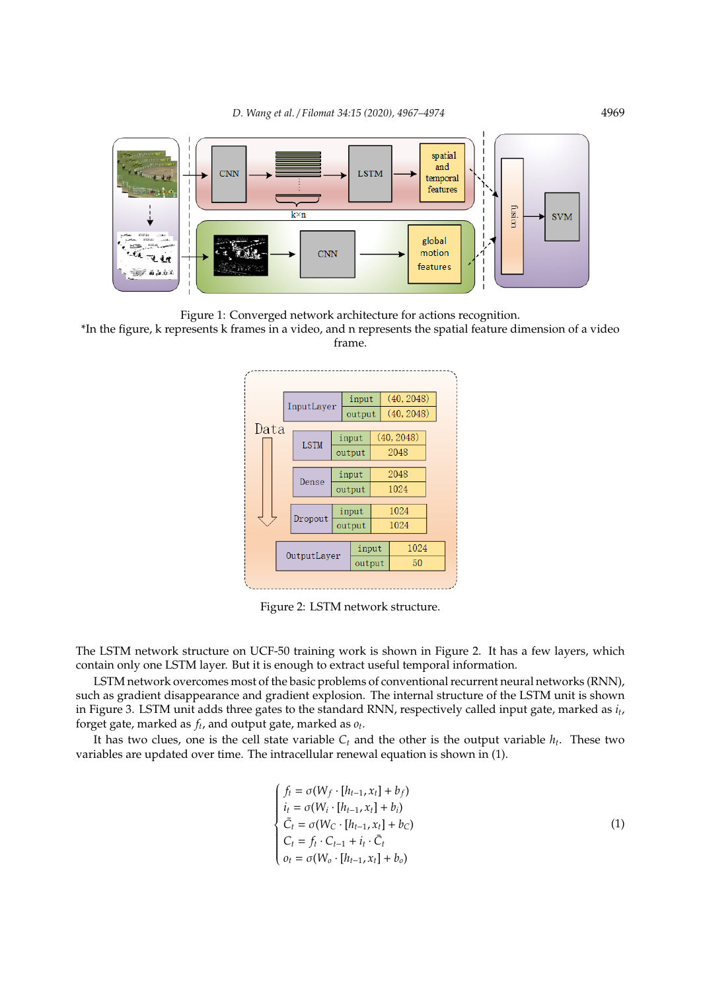

Figure 1: Converged network architecture for actions recognition.

\*In the figure, k represents k frames in a video, and n represents the spatial feature dimension of a video frame.



Figure 2: LSTM network structure.

The LSTM network structure on UCF-50 training work is shown in Figure 2. It has a few layers, which contain only one LSTM layer. But it is enough to extract useful temporal information.

LSTM network overcomes most of the basic problems of conventional recurrent neural networks (RNN), such as gradient disappearance and gradient explosion. The internal structure of the LSTM unit is shown in Figure 3. LSTM unit adds three gates to the standard RNN, respectively called input gate, marked as *i<sup>t</sup>* , forget gate, marked as *f<sup>t</sup>* , and output gate, marked as *o<sup>t</sup>* .

It has two clues, one is the cell state variable *C<sup>t</sup>* and the other is the output variable *h<sup>t</sup>* . These two variables are updated over time. The intracellular renewal equation is shown in (1).

$$
\begin{cases}\nf_t = \sigma(W_f \cdot [h_{t-1}, x_t] + b_f) \\
i_t = \sigma(W_i \cdot [h_{t-1}, x_t] + b_i) \\
\bar{C}_t = \sigma(W_C \cdot [h_{t-1}, x_t] + b_C) \\
C_t = f_t \cdot C_{t-1} + i_t \cdot \bar{C}_t \\
o_t = \sigma(W_o \cdot [h_{t-1}, x_t] + b_o)\n\end{cases} \tag{1}
$$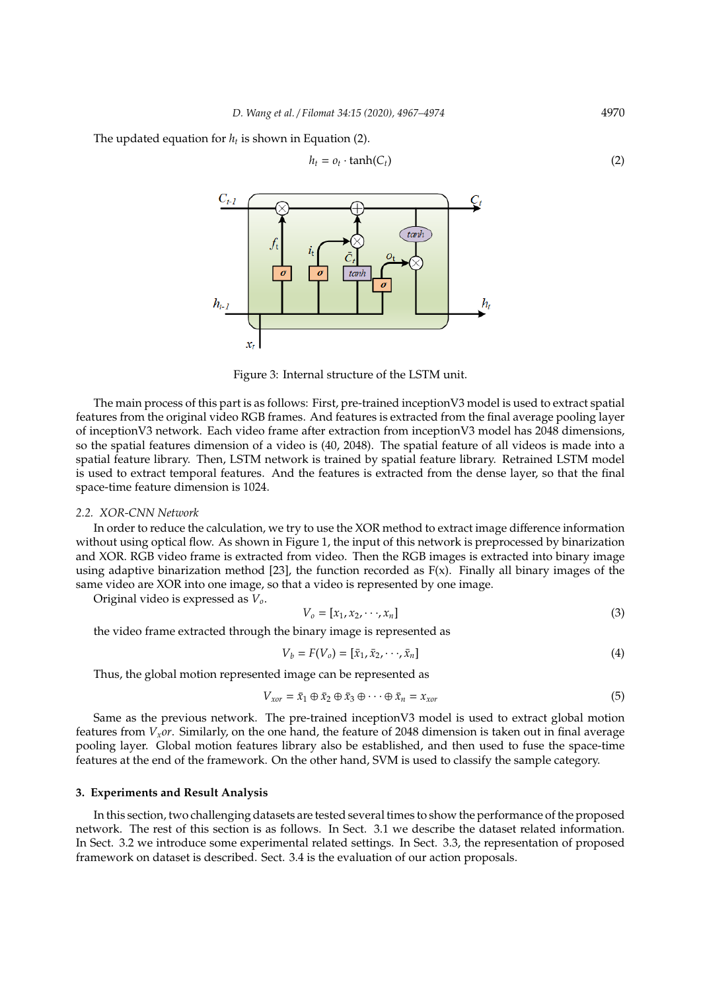The updated equation for *h<sup>t</sup>* is shown in Equation (2).

$$
h_t = o_t \cdot \tanh(C_t) \tag{2}
$$



Figure 3: Internal structure of the LSTM unit.

The main process of this part is as follows: First, pre-trained inceptionV3 model is used to extract spatial features from the original video RGB frames. And features is extracted from the final average pooling layer of inceptionV3 network. Each video frame after extraction from inceptionV3 model has 2048 dimensions, so the spatial features dimension of a video is (40, 2048). The spatial feature of all videos is made into a spatial feature library. Then, LSTM network is trained by spatial feature library. Retrained LSTM model is used to extract temporal features. And the features is extracted from the dense layer, so that the final space-time feature dimension is 1024.

#### *2.2. XOR-CNN Network*

In order to reduce the calculation, we try to use the XOR method to extract image difference information without using optical flow. As shown in Figure 1, the input of this network is preprocessed by binarization and XOR. RGB video frame is extracted from video. Then the RGB images is extracted into binary image using adaptive binarization method  $[23]$ , the function recorded as  $F(x)$ . Finally all binary images of the same video are XOR into one image, so that a video is represented by one image.

Original video is expressed as *Vo*.

$$
V_o = [x_1, x_2, \cdots, x_n]
$$
\n<sup>(3)</sup>

the video frame extracted through the binary image is represented as

$$
V_b = F(V_o) = [\bar{x}_1, \bar{x}_2, \cdots, \bar{x}_n]
$$
\n(4)

Thus, the global motion represented image can be represented as

$$
V_{xor} = \bar{x}_1 \oplus \bar{x}_2 \oplus \bar{x}_3 \oplus \cdots \oplus \bar{x}_n = x_{xor}
$$
\n(5)

Same as the previous network. The pre-trained inceptionV3 model is used to extract global motion features from *Vxor*. Similarly, on the one hand, the feature of 2048 dimension is taken out in final average pooling layer. Global motion features library also be established, and then used to fuse the space-time features at the end of the framework. On the other hand, SVM is used to classify the sample category.

# **3. Experiments and Result Analysis**

In this section, two challenging datasets are tested several times to show the performance of the proposed network. The rest of this section is as follows. In Sect. 3.1 we describe the dataset related information. In Sect. 3.2 we introduce some experimental related settings. In Sect. 3.3, the representation of proposed framework on dataset is described. Sect. 3.4 is the evaluation of our action proposals.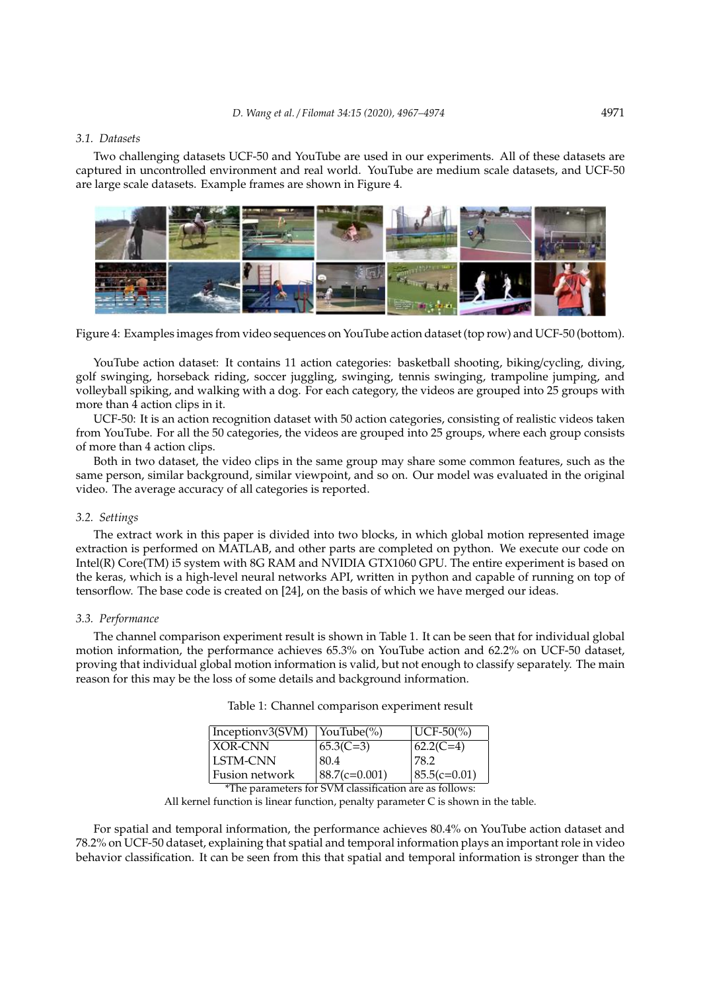#### *3.1. Datasets*

Two challenging datasets UCF-50 and YouTube are used in our experiments. All of these datasets are captured in uncontrolled environment and real world. YouTube are medium scale datasets, and UCF-50 are large scale datasets. Example frames are shown in Figure 4.



Figure 4: Examples images from video sequences on YouTube action dataset (top row) and UCF-50 (bottom).

YouTube action dataset: It contains 11 action categories: basketball shooting, biking/cycling, diving, golf swinging, horseback riding, soccer juggling, swinging, tennis swinging, trampoline jumping, and volleyball spiking, and walking with a dog. For each category, the videos are grouped into 25 groups with more than 4 action clips in it.

UCF-50: It is an action recognition dataset with 50 action categories, consisting of realistic videos taken from YouTube. For all the 50 categories, the videos are grouped into 25 groups, where each group consists of more than 4 action clips.

Both in two dataset, the video clips in the same group may share some common features, such as the same person, similar background, similar viewpoint, and so on. Our model was evaluated in the original video. The average accuracy of all categories is reported.

#### *3.2. Settings*

The extract work in this paper is divided into two blocks, in which global motion represented image extraction is performed on MATLAB, and other parts are completed on python. We execute our code on Intel(R) Core(TM) i5 system with 8G RAM and NVIDIA GTX1060 GPU. The entire experiment is based on the keras, which is a high-level neural networks API, written in python and capable of running on top of tensorflow. The base code is created on [24], on the basis of which we have merged our ideas.

#### *3.3. Performance*

The channel comparison experiment result is shown in Table 1. It can be seen that for individual global motion information, the performance achieves 65.3% on YouTube action and 62.2% on UCF-50 dataset, proving that individual global motion information is valid, but not enough to classify separately. The main reason for this may be the loss of some details and background information.

| Table 1: Channel comparison experiment result |  |  |  |
|-----------------------------------------------|--|--|--|
|-----------------------------------------------|--|--|--|

| <b>XOR-CNN</b><br>$65.3(C=3)$ | $62.2(C=4)$                         |
|-------------------------------|-------------------------------------|
|                               |                                     |
| LSTM-CNN<br>80.4              | 78.2                                |
| Fusion network                | $ 88.7(c=0.001) $<br>$85.5(c=0.01)$ |

<sup>\*</sup>The parameters for SVM classification are as follows:

All kernel function is linear function, penalty parameter C is shown in the table.

For spatial and temporal information, the performance achieves 80.4% on YouTube action dataset and 78.2% on UCF-50 dataset, explaining that spatial and temporal information plays an important role in video behavior classification. It can be seen from this that spatial and temporal information is stronger than the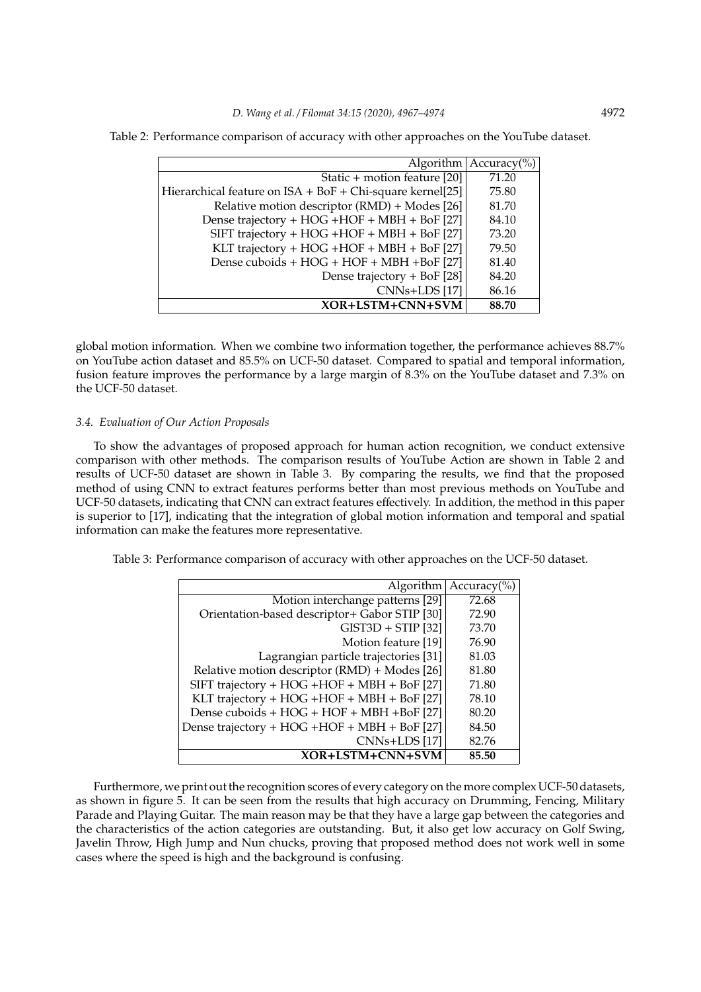| Algorithm $ $ Accuracy $\left(\% \right)$                 |       |
|-----------------------------------------------------------|-------|
|                                                           |       |
| Static + motion feature [20]                              | 71.20 |
| Hierarchical feature on ISA + BoF + Chi-square kernel[25] | 75.80 |
| Relative motion descriptor (RMD) + Modes [26]             | 81.70 |
| Dense trajectory + HOG + HOF + MBH + BoF [27]             | 84.10 |
| SIFT trajectory + HOG + HOF + MBH + BoF [27]              | 73.20 |
| KLT trajectory + HOG + HOF + MBH + BoF [27]               | 79.50 |

Dense cuboids +  $HOG$  +  $HOF$  +  $MBH$  +  $Bof$   $[27]$  81.40<br>Dense trajectory +  $Bof$   $[28]$  84.20

Dense trajectory + BoF  $[28]$ 

 $CNNs+LDS [17]$  86.16

**XOR**+**LSTM**+**CNN**+**SVM 88.70**

Table 2: Performance comparison of accuracy with other approaches on the YouTube dataset.

global motion information. When we combine two information together, the performance achieves 88.7% on YouTube action dataset and 85.5% on UCF-50 dataset. Compared to spatial and temporal information, fusion feature improves the performance by a large margin of 8.3% on the YouTube dataset and 7.3% on the UCF-50 dataset.

#### *3.4. Evaluation of Our Action Proposals*

To show the advantages of proposed approach for human action recognition, we conduct extensive comparison with other methods. The comparison results of YouTube Action are shown in Table 2 and results of UCF-50 dataset are shown in Table 3. By comparing the results, we find that the proposed method of using CNN to extract features performs better than most previous methods on YouTube and UCF-50 datasets, indicating that CNN can extract features effectively. In addition, the method in this paper is superior to [17], indicating that the integration of global motion information and temporal and spatial information can make the features more representative.

Table 3: Performance comparison of accuracy with other approaches on the UCF-50 dataset.

|                                               | Algorithm   $Accuracy$ %) |
|-----------------------------------------------|---------------------------|
| Motion interchange patterns [29]              | 72.68                     |
| Orientation-based descriptor+ Gabor STIP [30] | 72.90                     |
| $GIST3D + STIP$ [32]                          | 73.70                     |
| Motion feature [19]                           | 76.90                     |
| Lagrangian particle trajectories [31]         | 81.03                     |
| Relative motion descriptor (RMD) + Modes [26] | 81.80                     |
| SIFT trajectory + HOG + HOF + MBH + BoF [27]  | 71.80                     |
| KLT trajectory + HOG + HOF + MBH + BoF [27]   | 78.10                     |
| Dense cuboids + $HOG + HOF + MBH + BoF [27]$  | 80.20                     |
| Dense trajectory + HOG + HOF + MBH + BoF [27] | 84.50                     |
| CNNs+LDS [17]                                 | 82.76                     |
| XOR+LSTM+CNN+SVM                              | 85.50                     |

Furthermore, we print out the recognition scores of every category on the more complex UCF-50 datasets, as shown in figure 5. It can be seen from the results that high accuracy on Drumming, Fencing, Military Parade and Playing Guitar. The main reason may be that they have a large gap between the categories and the characteristics of the action categories are outstanding. But, it also get low accuracy on Golf Swing, Javelin Throw, High Jump and Nun chucks, proving that proposed method does not work well in some cases where the speed is high and the background is confusing.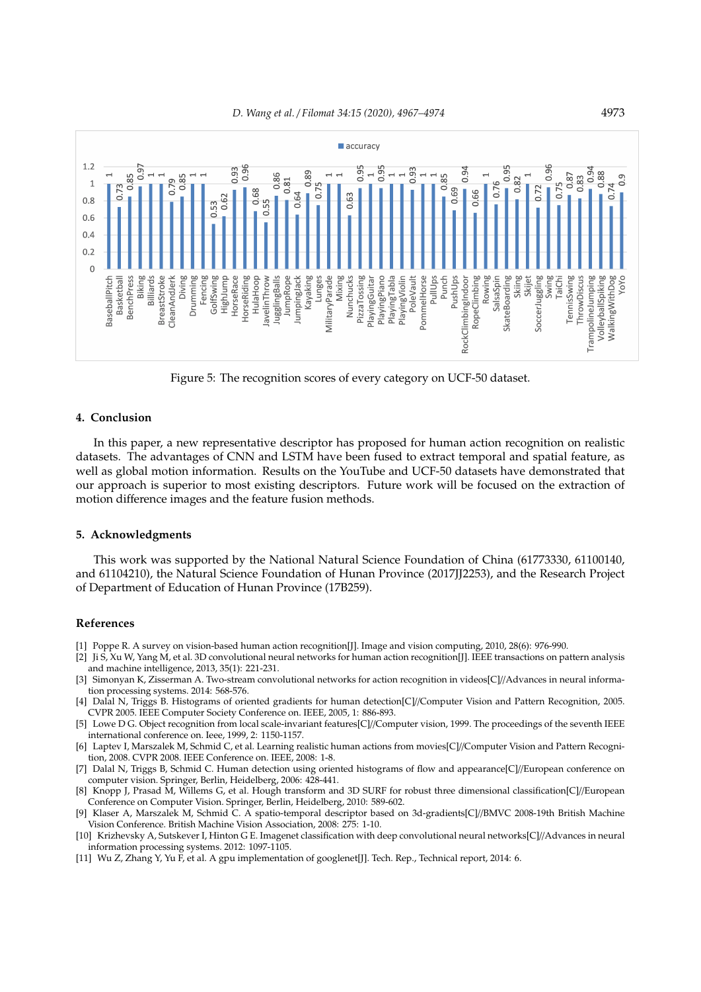

Figure 5: The recognition scores of every category on UCF-50 dataset.

# **4. Conclusion**

In this paper, a new representative descriptor has proposed for human action recognition on realistic datasets. The advantages of CNN and LSTM have been fused to extract temporal and spatial feature, as well as global motion information. Results on the YouTube and UCF-50 datasets have demonstrated that our approach is superior to most existing descriptors. Future work will be focused on the extraction of motion difference images and the feature fusion methods.

#### **5. Acknowledgments**

This work was supported by the National Natural Science Foundation of China (61773330, 61100140, and 61104210), the Natural Science Foundation of Hunan Province (2017JJ2253), and the Research Project of Department of Education of Hunan Province (17B259).

# **References**

- [1] Poppe R. A survey on vision-based human action recognition[J]. Image and vision computing, 2010, 28(6): 976-990.
- [2] Ji S, Xu W, Yang M, et al. 3D convolutional neural networks for human action recognition[J]. IEEE transactions on pattern analysis and machine intelligence, 2013, 35(1): 221-231.
- [3] Simonyan K, Zisserman A. Two-stream convolutional networks for action recognition in videos[C]//Advances in neural information processing systems. 2014: 568-576.
- [4] Dalal N, Triggs B. Histograms of oriented gradients for human detection[C]//Computer Vision and Pattern Recognition, 2005. CVPR 2005. IEEE Computer Society Conference on. IEEE, 2005, 1: 886-893.
- [5] Lowe D G. Object recognition from local scale-invariant features[C]//Computer vision, 1999. The proceedings of the seventh IEEE international conference on. Ieee, 1999, 2: 1150-1157.
- [6] Laptev I, Marszalek M, Schmid C, et al. Learning realistic human actions from movies[C]//Computer Vision and Pattern Recognition, 2008. CVPR 2008. IEEE Conference on. IEEE, 2008: 1-8.
- [7] Dalal N, Triggs B, Schmid C. Human detection using oriented histograms of flow and appearance[C]//European conference on computer vision. Springer, Berlin, Heidelberg, 2006: 428-441.
- [8] Knopp J, Prasad M, Willems G, et al. Hough transform and 3D SURF for robust three dimensional classification[C]//European Conference on Computer Vision. Springer, Berlin, Heidelberg, 2010: 589-602.
- [9] Klaser A, Marszalek M, Schmid C. A spatio-temporal descriptor based on 3d-gradients[C]//BMVC 2008-19th British Machine Vision Conference. British Machine Vision Association, 2008: 275: 1-10.
- [10] Krizhevsky A, Sutskever I, Hinton G E. Imagenet classification with deep convolutional neural networks[C]//Advances in neural information processing systems. 2012: 1097-1105.
- [11] Wu Z, Zhang Y, Yu F, et al. A gpu implementation of googlenet[J]. Tech. Rep., Technical report, 2014: 6.